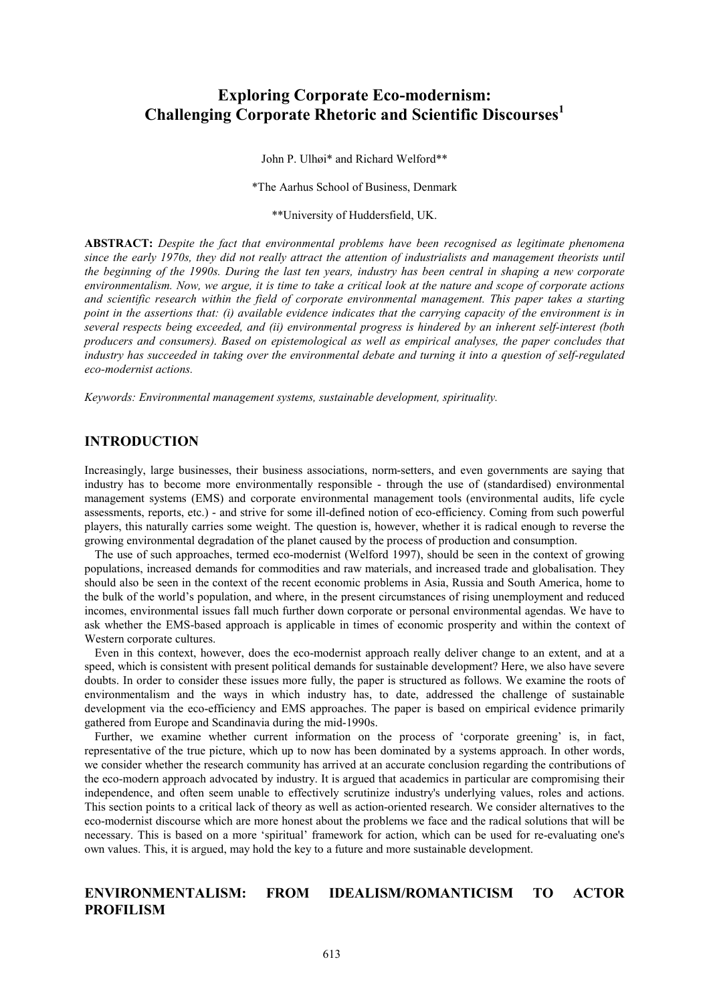# **Exploring Corporate Eco-modernism: Challenging Corporate Rhetoric and Scientific Discourses**

John P. Ulhøi\* and Richard Welford\*\*

\*The Aarhus School of Business, Denmark

\*\*University of Huddersfield, UK.

ABSTRACT: Despite the fact that environmental problems have been recognised as legitimate phenomena since the early 1970s, they did not really attract the attention of industrialists and management theorists until the beginning of the 1990s. During the last ten years, industry has been central in shaping a new corporate environmentalism. Now, we argue, it is time to take a critical look at the nature and scope of corporate actions and scientific research within the field of corporate environmental management. This paper takes a starting point in the assertions that: (i) available evidence indicates that the carrying capacity of the environment is in several respects being exceeded, and (ii) environmental progress is hindered by an inherent self-interest (both producers and consumers). Based on epistemological as well as empirical analyses, the paper concludes that industry has succeeded in taking over the environmental debate and turning it into a question of self-regulated eco-modernist actions.

Keywords: Environmental management systems, sustainable development, spirituality.

## **INTRODUCTION**

Increasingly, large businesses, their business associations, norm-setters, and even governments are saying that industry has to become more environmentally responsible - through the use of (standardised) environmental management systems (EMS) and corporate environmental management tools (environmental audits, life cycle assessments, reports, etc.) - and strive for some ill-defined notion of eco-efficiency. Coming from such powerful players, this naturally carries some weight. The question is, however, whether it is radical enough to reverse the growing environmental degradation of the planet caused by the process of production and consumption.

The use of such approaches, termed eco-modernist (Welford 1997), should be seen in the context of growing populations, increased demands for commodities and raw materials, and increased trade and globalisation. They should also be seen in the context of the recent economic problems in Asia. Russia and South America, home to the bulk of the world's population, and where, in the present circumstances of rising unemployment and reduced incomes, environmental issues fall much further down corporate or personal environmental agendas. We have to ask whether the EMS-based approach is applicable in times of economic prosperity and within the context of Western corporate cultures.

Even in this context, however, does the eco-modernist approach really deliver change to an extent, and at a speed, which is consistent with present political demands for sustainable development? Here, we also have severe doubts. In order to consider these issues more fully, the paper is structured as follows. We examine the roots of environmentalism and the ways in which industry has, to date, addressed the challenge of sustainable development via the eco-efficiency and EMS approaches. The paper is based on empirical evidence primarily gathered from Europe and Scandinavia during the mid-1990s.

Further, we examine whether current information on the process of 'corporate greening' is, in fact, representative of the true picture, which up to now has been dominated by a systems approach. In other words, we consider whether the research community has arrived at an accurate conclusion regarding the contributions of the eco-modern approach advocated by industry. It is argued that academics in particular are compromising their independence, and often seem unable to effectively scrutinize industry's underlying values, roles and actions. This section points to a critical lack of theory as well as action-oriented research. We consider alternatives to the eco-modernist discourse which are more honest about the problems we face and the radical solutions that will be necessary. This is based on a more 'spiritual' framework for action, which can be used for re-evaluating one's own values. This, it is argued, may hold the key to a future and more sustainable development.

#### **ENVIRONMENTALISM: FROM IDEALISM/ROMANTICISM** T<sub>O</sub> **ACTOR PROFILISM**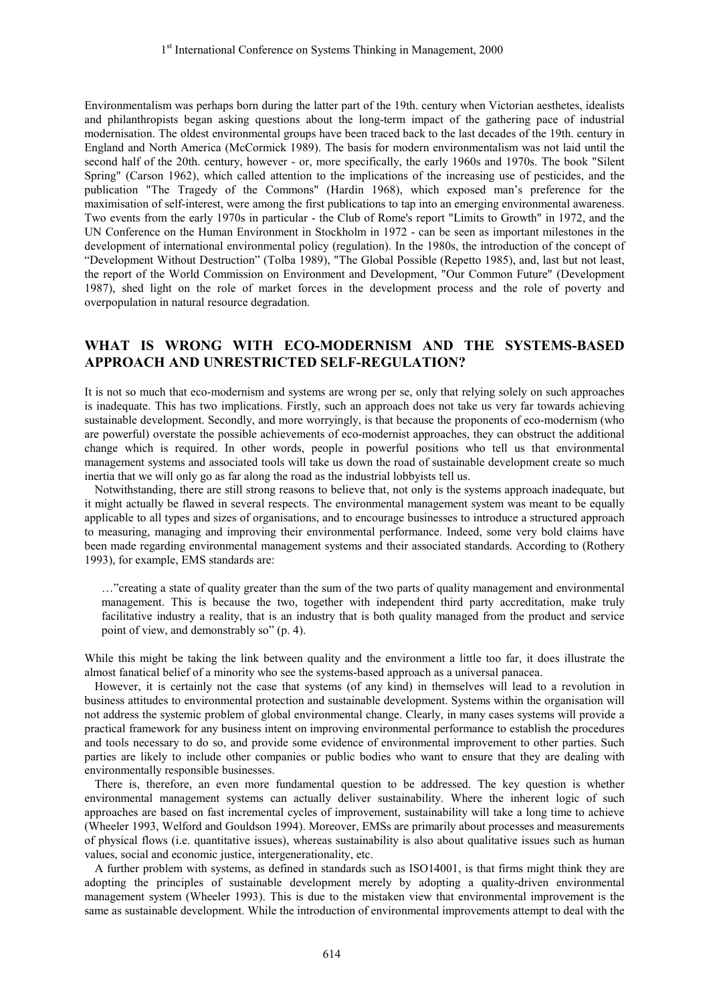Environmentalism was perhaps born during the latter part of the 19th. century when Victorian aesthetes, idealists and philanthropists began asking questions about the long-term impact of the gathering pace of industrial modernisation. The oldest environmental groups have been traced back to the last decades of the 19th. century in England and North America (McCormick 1989). The basis for modern environmentalism was not laid until the second half of the 20th. century, however - or, more specifically, the early 1960s and 1970s. The book "Silent Spring" (Carson 1962), which called attention to the implications of the increasing use of pesticides, and the publication "The Tragedy of the Commons" (Hardin 1968), which exposed man's preference for the maximisation of self-interest, were among the first publications to tap into an emerging environmental awareness. Two events from the early 1970s in particular - the Club of Rome's report "Limits to Growth" in 1972, and the UN Conference on the Human Environment in Stockholm in 1972 - can be seen as important milestones in the development of international environmental policy (regulation). In the 1980s, the introduction of the concept of "Development Without Destruction" (Tolba 1989), "The Global Possible (Repetto 1985), and, last but not least, the report of the World Commission on Environment and Development, "Our Common Future" (Development 1987), shed light on the role of market forces in the development process and the role of poverty and overpopulation in natural resource degradation.

## WHAT IS WRONG WITH ECO-MODERNISM AND THE SYSTEMS-BASED APPROACH AND UNRESTRICTED SELF-REGULATION?

It is not so much that eco-modernism and systems are wrong per se, only that relying solely on such approaches is inadequate. This has two implications. Firstly, such an approach does not take us very far towards achieving sustainable development. Secondly, and more worryingly, is that because the proponents of eco-modernism (who are powerful) overstate the possible achievements of eco-modernist approaches, they can obstruct the additional change which is required. In other words, people in powerful positions who tell us that environmental management systems and associated tools will take us down the road of sustainable development create so much inertia that we will only go as far along the road as the industrial lobbyists tell us.

Notwithstanding, there are still strong reasons to believe that, not only is the systems approach inadequate, but it might actually be flawed in several respects. The environmental management system was meant to be equally applicable to all types and sizes of organisations, and to encourage businesses to introduce a structured approach to measuring, managing and improving their environmental performance. Indeed, some very bold claims have been made regarding environmental management systems and their associated standards. According to (Rothery 1993), for example, EMS standards are:

..."creating a state of quality greater than the sum of the two parts of quality management and environmental management. This is because the two, together with independent third party accreditation, make truly facilitative industry a reality, that is an industry that is both quality managed from the product and service point of view, and demonstrably so" (p. 4).

While this might be taking the link between quality and the environment a little too far, it does illustrate the almost fanatical belief of a minority who see the systems-based approach as a universal panacea.

However, it is certainly not the case that systems (of any kind) in themselves will lead to a revolution in business attitudes to environmental protection and sustainable development. Systems within the organisation will not address the systemic problem of global environmental change. Clearly, in many cases systems will provide a practical framework for any business intent on improving environmental performance to establish the procedures and tools necessary to do so, and provide some evidence of environmental improvement to other parties. Such parties are likely to include other companies or public bodies who want to ensure that they are dealing with environmentally responsible businesses.

There is, therefore, an even more fundamental question to be addressed. The key question is whether environmental management systems can actually deliver sustainability. Where the inherent logic of such approaches are based on fast incremental cycles of improvement, sustainability will take a long time to achieve (Wheeler 1993, Welford and Gouldson 1994). Moreover, EMSs are primarily about processes and measurements of physical flows (i.e. quantitative issues), whereas sustainability is also about qualitative issues such as human values, social and economic justice, intergenerationality, etc.

A further problem with systems, as defined in standards such as ISO14001, is that firms might think they are adopting the principles of sustainable development merely by adopting a quality-driven environmental management system (Wheeler 1993). This is due to the mistaken view that environmental improvement is the same as sustainable development. While the introduction of environmental improvements attempt to deal with the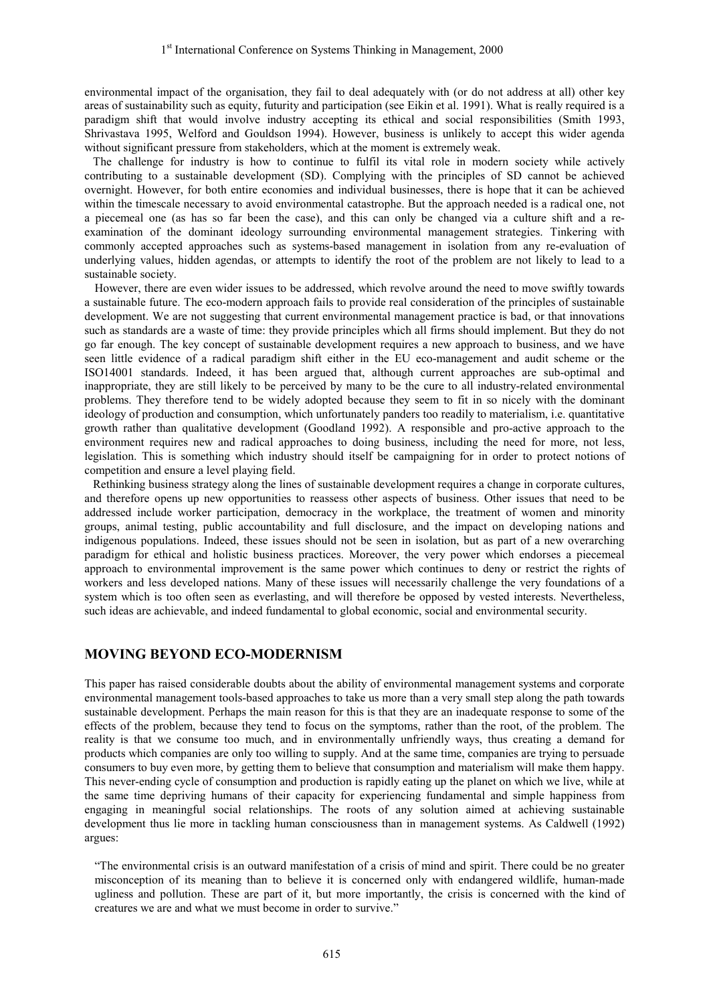environmental impact of the organisation, they fail to deal adequately with (or do not address at all) other key areas of sustainability such as equity, futurity and participation (see Eikin et al. 1991). What is really required is a paradigm shift that would involve industry accepting its ethical and social responsibilities (Smith 1993, Shrivastava 1995, Welford and Gouldson 1994). However, business is unlikely to accept this wider agenda without significant pressure from stakeholders, which at the moment is extremely weak.

The challenge for industry is how to continue to fulfil its vital role in modern society while actively contributing to a sustainable development (SD). Complying with the principles of SD cannot be achieved overnight. However, for both entire economies and individual businesses, there is hope that it can be achieved within the timescale necessary to avoid environmental catastrophe. But the approach needed is a radical one, not a piecemeal one (as has so far been the case), and this can only be changed via a culture shift and a reexamination of the dominant ideology surrounding environmental management strategies. Tinkering with commonly accepted approaches such as systems-based management in isolation from any re-evaluation of underlying values, hidden agendas, or attempts to identify the root of the problem are not likely to lead to a sustainable society.

However, there are even wider issues to be addressed, which revolve around the need to move swiftly towards a sustainable future. The eco-modern approach fails to provide real consideration of the principles of sustainable development. We are not suggesting that current environmental management practice is bad, or that innovations such as standards are a waste of time: they provide principles which all firms should implement. But they do not go far enough. The key concept of sustainable development requires a new approach to business, and we have seen little evidence of a radical paradigm shift either in the EU eco-management and audit scheme or the ISO14001 standards. Indeed, it has been argued that, although current approaches are sub-optimal and inappropriate, they are still likely to be perceived by many to be the cure to all industry-related environmental problems. They therefore tend to be widely adopted because they seem to fit in so nicely with the dominant ideology of production and consumption, which unfortunately panders too readily to materialism, i.e. quantitative growth rather than qualitative development (Goodland 1992). A responsible and pro-active approach to the environment requires new and radical approaches to doing business, including the need for more, not less, legislation. This is something which industry should itself be campaigning for in order to protect notions of competition and ensure a level playing field.

Rethinking business strategy along the lines of sustainable development requires a change in corporate cultures, and therefore opens up new opportunities to reassess other aspects of business. Other issues that need to be addressed include worker participation, democracy in the workplace, the treatment of women and minority groups, animal testing, public accountability and full disclosure, and the impact on developing nations and indigenous populations. Indeed, these issues should not be seen in isolation, but as part of a new overarching paradigm for ethical and holistic business practices. Moreover, the very power which endorses a piecemeal approach to environmental improvement is the same power which continues to deny or restrict the rights of workers and less developed nations. Many of these issues will necessarily challenge the very foundations of a system which is too often seen as everlasting, and will therefore be opposed by vested interests. Nevertheless, such ideas are achievable, and indeed fundamental to global economic, social and environmental security.

## **MOVING BEYOND ECO-MODERNISM**

This paper has raised considerable doubts about the ability of environmental management systems and corporate environmental management tools-based approaches to take us more than a very small step along the path towards sustainable development. Perhaps the main reason for this is that they are an inadequate response to some of the effects of the problem, because they tend to focus on the symptoms, rather than the root, of the problem. The reality is that we consume too much, and in environmentally unfriendly ways, thus creating a demand for products which companies are only too willing to supply. And at the same time, companies are trying to persuade consumers to buy even more, by getting them to believe that consumption and materialism will make them happy. This never-ending cycle of consumption and production is rapidly eating up the planet on which we live, while at the same time depriving humans of their capacity for experiencing fundamental and simple happiness from engaging in meaningful social relationships. The roots of any solution aimed at achieving sustainable development thus lie more in tackling human consciousness than in management systems. As Caldwell (1992) argues:

"The environmental crisis is an outward manifestation of a crisis of mind and spirit. There could be no greater misconception of its meaning than to believe it is concerned only with endangered wildlife, human-made ugliness and pollution. These are part of it, but more importantly, the crisis is concerned with the kind of creatures we are and what we must become in order to survive."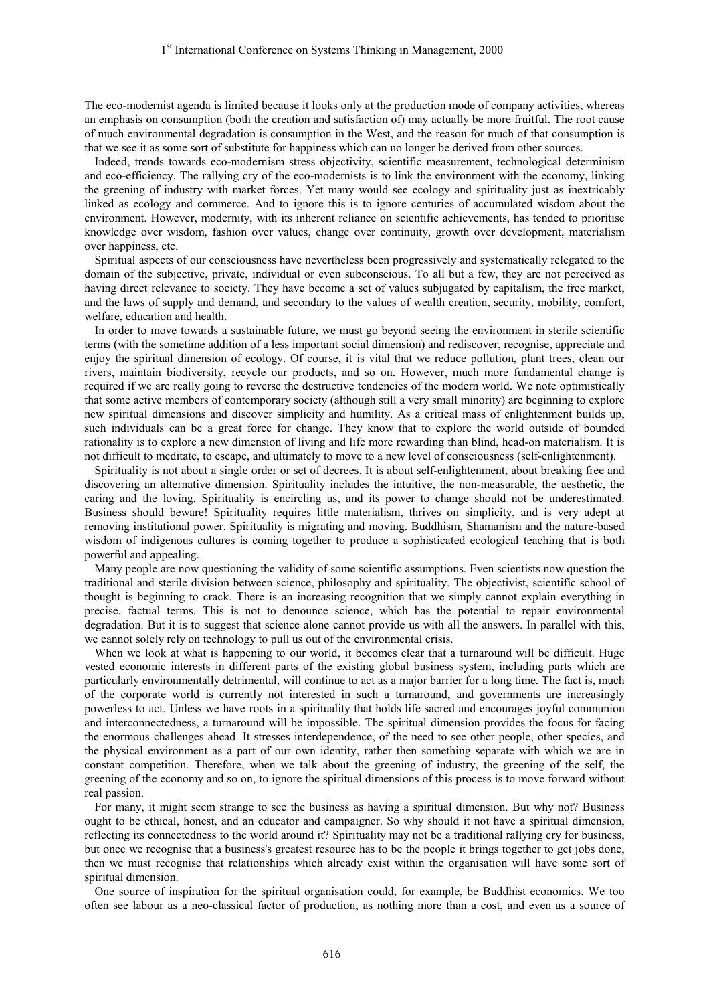The eco-modernist agenda is limited because it looks only at the production mode of company activities, whereas an emphasis on consumption (both the creation and satisfaction of) may actually be more fruitful. The root cause of much environmental degradation is consumption in the West, and the reason for much of that consumption is that we see it as some sort of substitute for happiness which can no longer be derived from other sources.

Indeed, trends towards eco-modernism stress objectivity, scientific measurement, technological determinism and eco-efficiency. The rallying cry of the eco-modernists is to link the environment with the economy, linking the greening of industry with market forces. Yet many would see ecology and spirituality just as inextricably linked as ecology and commerce. And to ignore this is to ignore centuries of accumulated wisdom about the environment. However, modernity, with its inherent reliance on scientific achievements, has tended to prioritise knowledge over wisdom, fashion over values, change over continuity, growth over development, materialism over happiness, etc.

Spiritual aspects of our consciousness have nevertheless been progressively and systematically relegated to the domain of the subjective, private, individual or even subconscious. To all but a few, they are not perceived as having direct relevance to society. They have become a set of values subjugated by capitalism, the free market, and the laws of supply and demand, and secondary to the values of wealth creation, security, mobility, comfort, welfare, education and health.

In order to move towards a sustainable future, we must go beyond seeing the environment in sterile scientific terms (with the sometime addition of a less important social dimension) and rediscover, recognise, appreciate and enjoy the spiritual dimension of ecology. Of course, it is vital that we reduce pollution, plant trees, clean our rivers, maintain biodiversity, recycle our products, and so on. However, much more fundamental change is required if we are really going to reverse the destructive tendencies of the modern world. We note optimistically that some active members of contemporary society (although still a very small minority) are beginning to explore new spiritual dimensions and discover simplicity and humility. As a critical mass of enlightenment builds up, such individuals can be a great force for change. They know that to explore the world outside of bounded rationality is to explore a new dimension of living and life more rewarding than blind, head-on materialism. It is not difficult to meditate, to escape, and ultimately to move to a new level of consciousness (self-enlightenment).

Spirituality is not about a single order or set of decrees. It is about self-enlightenment, about breaking free and discovering an alternative dimension. Spirituality includes the intuitive, the non-measurable, the aesthetic, the caring and the loving. Spirituality is encircling us, and its power to change should not be underestimated. Business should beware! Spirituality requires little materialism, thrives on simplicity, and is very adept at removing institutional power. Spirituality is migrating and moving. Buddhism, Shamanism and the nature-based wisdom of indigenous cultures is coming together to produce a sophisticated ecological teaching that is both powerful and appealing.

Many people are now questioning the validity of some scientific assumptions. Even scientists now question the traditional and sterile division between science, philosophy and spirituality. The objectivist, scientific school of thought is beginning to crack. There is an increasing recognition that we simply cannot explain everything in precise, factual terms. This is not to denounce science, which has the potential to repair environmental degradation. But it is to suggest that science alone cannot provide us with all the answers. In parallel with this, we cannot solely rely on technology to pull us out of the environmental crisis.

When we look at what is happening to our world, it becomes clear that a turnaround will be difficult. Huge vested economic interests in different parts of the existing global business system, including parts which are particularly environmentally detrimental, will continue to act as a major barrier for a long time. The fact is, much of the corporate world is currently not interested in such a turnaround, and governments are increasingly powerless to act. Unless we have roots in a spirituality that holds life sacred and encourages joyful communion and interconnectedness, a turnaround will be impossible. The spiritual dimension provides the focus for facing the enormous challenges ahead. It stresses interdependence, of the need to see other people, other species, and the physical environment as a part of our own identity, rather then something separate with which we are in constant competition. Therefore, when we talk about the greening of industry, the greening of the self, the greening of the economy and so on, to ignore the spiritual dimensions of this process is to move forward without real passion

For many, it might seem strange to see the business as having a spiritual dimension. But why not? Business ought to be ethical, honest, and an educator and campaigner. So why should it not have a spiritual dimension, reflecting its connectedness to the world around it? Spirituality may not be a traditional rallying cry for business, but once we recognise that a business's greatest resource has to be the people it brings together to get jobs done, then we must recognise that relationships which already exist within the organisation will have some sort of spiritual dimension.

One source of inspiration for the spiritual organisation could, for example, be Buddhist economics. We too often see labour as a neo-classical factor of production, as nothing more than a cost, and even as a source of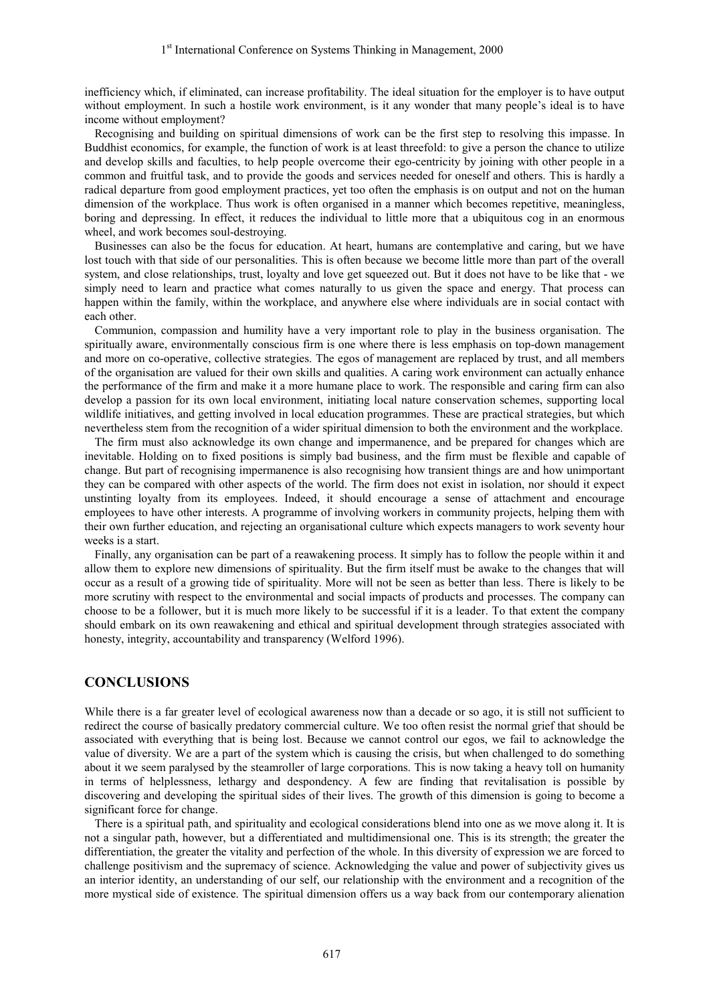inefficiency which, if eliminated, can increase profitability. The ideal situation for the employer is to have output without employment. In such a hostile work environment, is it any wonder that many people's ideal is to have income without employment?

Recognising and building on spiritual dimensions of work can be the first step to resolving this impasse. In Buddhist economics, for example, the function of work is at least threefold: to give a person the chance to utilize and develop skills and faculties, to help people overcome their ego-centricity by joining with other people in a common and fruitful task, and to provide the goods and services needed for oneself and others. This is hardly a radical departure from good employment practices, yet too often the emphasis is on output and not on the human dimension of the workplace. Thus work is often organised in a manner which becomes repetitive, meaningless, boring and depressing. In effect, it reduces the individual to little more that a ubiquitous cog in an enormous wheel, and work becomes soul-destroying.

Businesses can also be the focus for education. At heart, humans are contemplative and caring, but we have lost touch with that side of our personalities. This is often because we become little more than part of the overall system, and close relationships, trust, loyalty and love get squeezed out. But it does not have to be like that - we simply need to learn and practice what comes naturally to us given the space and energy. That process can happen within the family, within the workplace, and anywhere else where individuals are in social contact with each other.

Communion, compassion and humility have a very important role to play in the business organisation. The spiritually aware, environmentally conscious firm is one where there is less emphasis on top-down management and more on co-operative, collective strategies. The egos of management are replaced by trust, and all members of the organisation are valued for their own skills and qualities. A caring work environment can actually enhance the performance of the firm and make it a more humane place to work. The responsible and caring firm can also develop a passion for its own local environment, initiating local nature conservation schemes, supporting local wildlife initiatives, and getting involved in local education programmes. These are practical strategies, but which nevertheless stem from the recognition of a wider spiritual dimension to both the environment and the workplace.

The firm must also acknowledge its own change and impermanence, and be prepared for changes which are inevitable. Holding on to fixed positions is simply bad business, and the firm must be flexible and capable of change. But part of recognising impermanence is also recognising how transient things are and how unimportant they can be compared with other aspects of the world. The firm does not exist in isolation, nor should it expect unstinting loyalty from its employees. Indeed, it should encourage a sense of attachment and encourage employees to have other interests. A programme of involving workers in community projects, helping them with their own further education, and rejecting an organisational culture which expects managers to work seventy hour weeks is a start

Finally, any organisation can be part of a reawakening process. It simply has to follow the people within it and allow them to explore new dimensions of spirituality. But the firm itself must be awake to the changes that will occur as a result of a growing tide of spirituality. More will not be seen as better than less. There is likely to be more scrutiny with respect to the environmental and social impacts of products and processes. The company can choose to be a follower, but it is much more likely to be successful if it is a leader. To that extent the company should embark on its own reawakening and ethical and spiritual development through strategies associated with honesty, integrity, accountability and transparency (Welford 1996).

## **CONCLUSIONS**

While there is a far greater level of ecological awareness now than a decade or so ago, it is still not sufficient to redirect the course of basically predatory commercial culture. We too often resist the normal grief that should be associated with everything that is being lost. Because we cannot control our egos, we fail to acknowledge the value of diversity. We are a part of the system which is causing the crisis, but when challenged to do something about it we seem paralysed by the steamroller of large corporations. This is now taking a heavy toll on humanity in terms of helplessness, lethargy and despondency. A few are finding that revitalisation is possible by discovering and developing the spiritual sides of their lives. The growth of this dimension is going to become a significant force for change.

There is a spiritual path, and spirituality and ecological considerations blend into one as we move along it. It is not a singular path, however, but a differentiated and multidimensional one. This is its strength; the greater the differentiation, the greater the vitality and perfection of the whole. In this diversity of expression we are forced to challenge positivism and the supremacy of science. Acknowledging the value and power of subjectivity gives us an interior identity, an understanding of our self, our relationship with the environment and a recognition of the more mystical side of existence. The spiritual dimension offers us a way back from our contemporary alienation